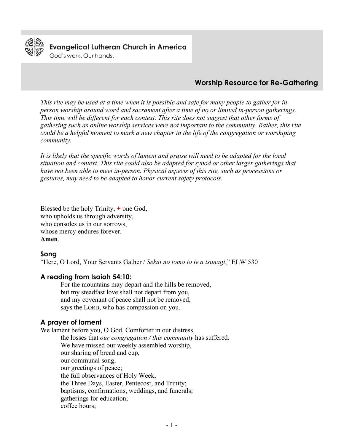

**Evangelical Lutheran Church in America** 

God's work, Our hands.

# **Worship Resource for Re-Gathering**

*This rite may be used at a time when it is possible and safe for many people to gather for inperson worship around word and sacrament after a time of no or limited in-person gatherings. This time will be different for each context. This rite does not suggest that other forms of gathering such as online worship services were not important to the community. Rather, this rite could be a helpful moment to mark a new chapter in the life of the congregation or worshiping community.*

*It is likely that the specific words of lament and praise will need to be adapted for the local situation and context. This rite could also be adapted for synod or other larger gatherings that have not been able to meet in-person. Physical aspects of this rite, such as processions or gestures, may need to be adapted to honor current safety protocols.*

Blessed be the holy Trinity, **+** one God, who upholds us through adversity, who consoles us in our sorrows, whose mercy endures forever. **Amen**.

## **Song**

"Here, O Lord, Your Servants Gather / *Sekai no tomo to te a tsunagi*," ELW 530

#### **A reading from Isaiah 54:10:**

For the mountains may depart and the hills be removed, but my steadfast love shall not depart from you, and my covenant of peace shall not be removed, says the LORD, who has compassion on you.

## **A prayer of lament**

We lament before you, O God, Comforter in our distress, the losses that *our congregation / this community* has suffered. We have missed our weekly assembled worship, our sharing of bread and cup, our communal song, our greetings of peace; the full observances of Holy Week, the Three Days, Easter, Pentecost, and Trinity; baptisms, confirmations, weddings, and funerals; gatherings for education; coffee hours;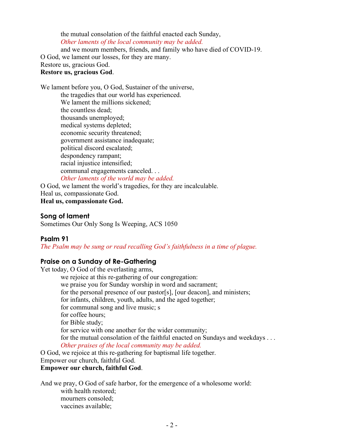the mutual consolation of the faithful enacted each Sunday, *Other laments of the local community may be added.*

and we mourn members, friends, and family who have died of COVID-19.

O God, we lament our losses, for they are many.

Restore us, gracious God.

#### **Restore us, gracious God**.

We lament before you, O God, Sustainer of the universe, the tragedies that our world has experienced. We lament the millions sickened; the countless dead; thousands unemployed; medical systems depleted; economic security threatened; government assistance inadequate; political discord escalated; despondency rampant; racial injustice intensified; communal engagements canceled. . . *Other laments of the world may be added.*

O God, we lament the world's tragedies, for they are incalculable. Heal us, compassionate God. **Heal us, compassionate God.**

#### **Song of lament**

Sometimes Our Only Song Is Weeping, ACS 1050

## **Psalm 91**

*The Psalm may be sung or read recalling God's faithfulness in a time of plague.*

## **Praise on a Sunday of Re-Gathering**

Yet today, O God of the everlasting arms, we rejoice at this re-gathering of our congregation: we praise you for Sunday worship in word and sacrament; for the personal presence of our pastor[s], [our deacon], and ministers; for infants, children, youth, adults, and the aged together; for communal song and live music; s for coffee hours; for Bible study; for service with one another for the wider community; for the mutual consolation of the faithful enacted on Sundays and weekdays . . . *Other praises of the local community may be added.*

O God, we rejoice at this re-gathering for baptismal life together. Empower our church, faithful God.

# **Empower our church, faithful God**.

And we pray, O God of safe harbor, for the emergence of a wholesome world: with health restored; mourners consoled; vaccines available;